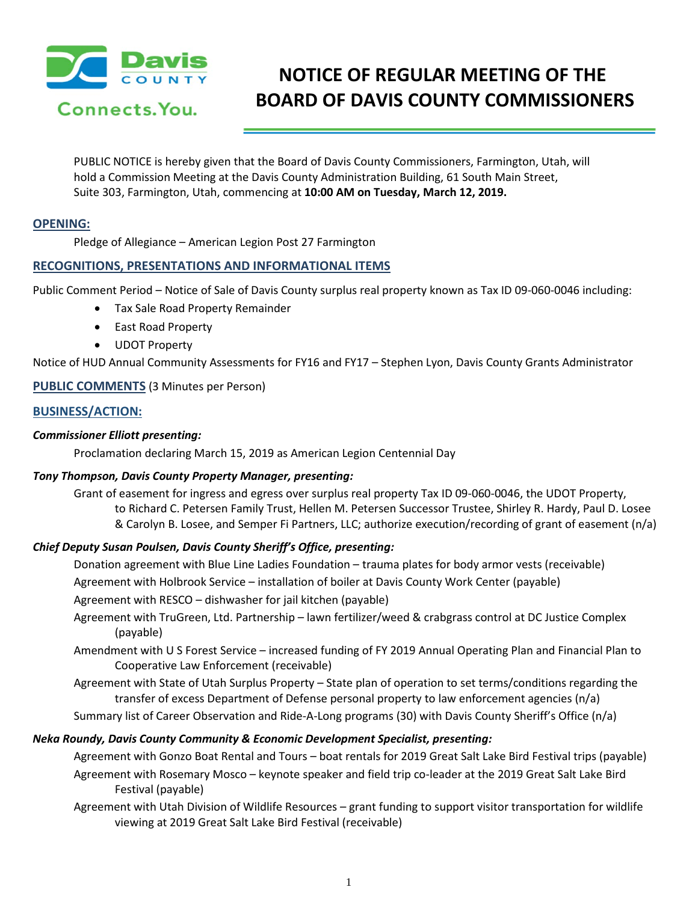

# **NOTICE OF REGULAR MEETING OF THE BOARD OF DAVIS COUNTY COMMISSIONERS**

PUBLIC NOTICE is hereby given that the Board of Davis County Commissioners, Farmington, Utah, will hold a Commission Meeting at the Davis County Administration Building, 61 South Main Street, Suite 303, Farmington, Utah, commencing at **10:00 AM on Tuesday, March 12, 2019.**

## **OPENING:**

Pledge of Allegiance – American Legion Post 27 Farmington

# **RECOGNITIONS, PRESENTATIONS AND INFORMATIONAL ITEMS**

Public Comment Period – Notice of Sale of Davis County surplus real property known as Tax ID 09-060-0046 including:

- Tax Sale Road Property Remainder
- East Road Property
- UDOT Property

Notice of HUD Annual Community Assessments for FY16 and FY17 – Stephen Lyon, Davis County Grants Administrator

## **PUBLIC COMMENTS** (3 Minutes per Person)

## **BUSINESS/ACTION:**

## *Commissioner Elliott presenting:*

Proclamation declaring March 15, 2019 as American Legion Centennial Day

#### *Tony Thompson, Davis County Property Manager, presenting:*

Grant of easement for ingress and egress over surplus real property Tax ID 09-060-0046, the UDOT Property, to Richard C. Petersen Family Trust, Hellen M. Petersen Successor Trustee, Shirley R. Hardy, Paul D. Losee & Carolyn B. Losee, and Semper Fi Partners, LLC; authorize execution/recording of grant of easement (n/a)

# *Chief Deputy Susan Poulsen, Davis County Sheriff's Office, presenting:*

Donation agreement with Blue Line Ladies Foundation – trauma plates for body armor vests (receivable)

Agreement with Holbrook Service – installation of boiler at Davis County Work Center (payable)

Agreement with RESCO – dishwasher for jail kitchen (payable)

- Agreement with TruGreen, Ltd. Partnership lawn fertilizer/weed & crabgrass control at DC Justice Complex (payable)
- Amendment with U S Forest Service increased funding of FY 2019 Annual Operating Plan and Financial Plan to Cooperative Law Enforcement (receivable)

Agreement with State of Utah Surplus Property – State plan of operation to set terms/conditions regarding the transfer of excess Department of Defense personal property to law enforcement agencies (n/a)

Summary list of Career Observation and Ride-A-Long programs (30) with Davis County Sheriff's Office (n/a)

# *Neka Roundy, Davis County Community & Economic Development Specialist, presenting:*

Agreement with Gonzo Boat Rental and Tours – boat rentals for 2019 Great Salt Lake Bird Festival trips (payable) Agreement with Rosemary Mosco – keynote speaker and field trip co-leader at the 2019 Great Salt Lake Bird Festival (payable)

Agreement with Utah Division of Wildlife Resources – grant funding to support visitor transportation for wildlife viewing at 2019 Great Salt Lake Bird Festival (receivable)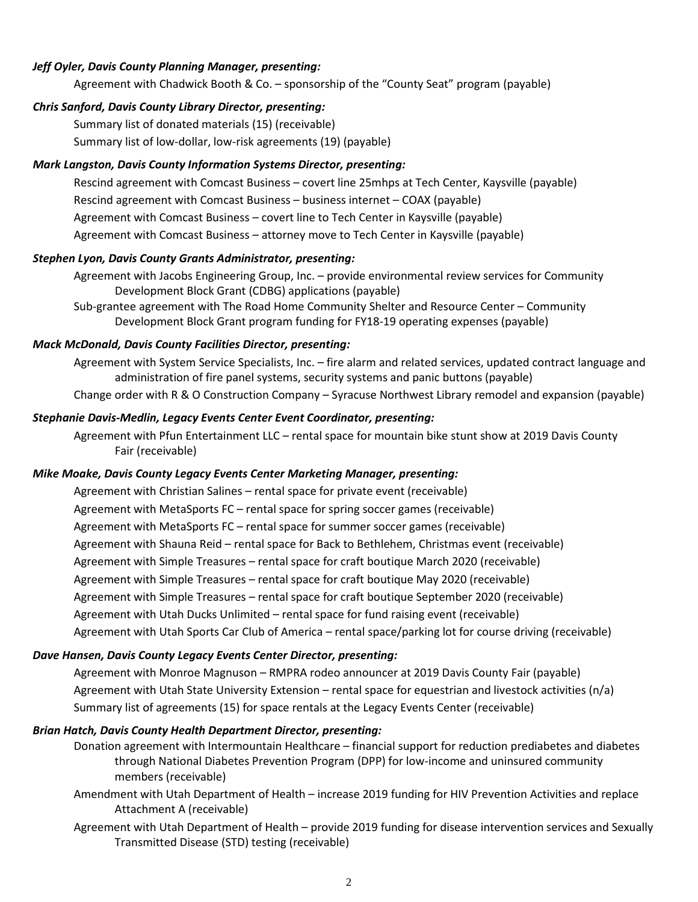# *Jeff Oyler, Davis County Planning Manager, presenting:*

Agreement with Chadwick Booth & Co. – sponsorship of the "County Seat" program (payable)

## *Chris Sanford, Davis County Library Director, presenting:*

Summary list of donated materials (15) (receivable) Summary list of low-dollar, low-risk agreements (19) (payable)

## *Mark Langston, Davis County Information Systems Director, presenting:*

Rescind agreement with Comcast Business – covert line 25mhps at Tech Center, Kaysville (payable) Rescind agreement with Comcast Business – business internet – COAX (payable) Agreement with Comcast Business – covert line to Tech Center in Kaysville (payable) Agreement with Comcast Business – attorney move to Tech Center in Kaysville (payable)

#### *Stephen Lyon, Davis County Grants Administrator, presenting:*

Agreement with Jacobs Engineering Group, Inc. – provide environmental review services for Community Development Block Grant (CDBG) applications (payable) Sub-grantee agreement with The Road Home Community Shelter and Resource Center – Community

Development Block Grant program funding for FY18-19 operating expenses (payable)

# *Mack McDonald, Davis County Facilities Director, presenting:*

Agreement with System Service Specialists, Inc. – fire alarm and related services, updated contract language and administration of fire panel systems, security systems and panic buttons (payable) Change order with R & O Construction Company – Syracuse Northwest Library remodel and expansion (payable)

## *Stephanie Davis-Medlin, Legacy Events Center Event Coordinator, presenting:*

Agreement with Pfun Entertainment LLC – rental space for mountain bike stunt show at 2019 Davis County Fair (receivable)

#### *Mike Moake, Davis County Legacy Events Center Marketing Manager, presenting:*

Agreement with Christian Salines – rental space for private event (receivable) Agreement with MetaSports FC – rental space for spring soccer games (receivable) Agreement with MetaSports FC – rental space for summer soccer games (receivable) Agreement with Shauna Reid – rental space for Back to Bethlehem, Christmas event (receivable) Agreement with Simple Treasures – rental space for craft boutique March 2020 (receivable) Agreement with Simple Treasures – rental space for craft boutique May 2020 (receivable) Agreement with Simple Treasures – rental space for craft boutique September 2020 (receivable) Agreement with Utah Ducks Unlimited – rental space for fund raising event (receivable) Agreement with Utah Sports Car Club of America – rental space/parking lot for course driving (receivable)

#### *Dave Hansen, Davis County Legacy Events Center Director, presenting:*

Agreement with Monroe Magnuson – RMPRA rodeo announcer at 2019 Davis County Fair (payable) Agreement with Utah State University Extension – rental space for equestrian and livestock activities (n/a) Summary list of agreements (15) for space rentals at the Legacy Events Center (receivable)

#### *Brian Hatch, Davis County Health Department Director, presenting:*

Donation agreement with Intermountain Healthcare – financial support for reduction prediabetes and diabetes through National Diabetes Prevention Program (DPP) for low-income and uninsured community members (receivable)

Amendment with Utah Department of Health – increase 2019 funding for HIV Prevention Activities and replace Attachment A (receivable)

Agreement with Utah Department of Health – provide 2019 funding for disease intervention services and Sexually Transmitted Disease (STD) testing (receivable)